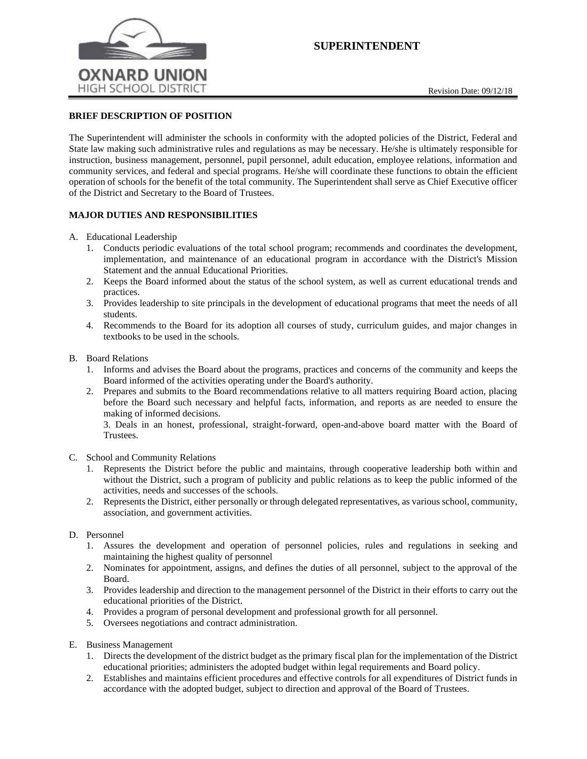

# **SUPERINTENDENT**

## **BRIEF DESCRIPTION OF POSITION**

The Superintendent will administer the schools in conformity with the adopted policies of the District, Federal and State law making such administrative rules and regulations as may be necessary. He/she is ultimately responsible for instruction, business management, personnel, pupil personnel, adult education, employee relations, information and community services, and federal and special programs. He/she will coordinate these functions to obtain the efficient operation of schools for the benefit of the total community. The Superintendent shall serve as Chief Executive officer of the District and Secretary to the Board of Trustees.

## **MAJOR DUTIES AND RESPONSIBILITIES**

- A. Educational Leadership
	- 1. Conducts periodic evaluations of the total school program; recommends and coordinates the development, implementation, and maintenance of an educational program in accordance with the District's Mission Statement and the annual Educational Priorities.
	- 2. Keeps the Board informed about the status of the school system, as well as current educational trends and practices.
	- 3. Provides leadership to site principals in the development of educational programs that meet the needs of all students.
	- 4. Recommends to the Board for its adoption all courses of study, curriculum guides, and major changes in textbooks to be used in the schools.
- B. Board Relations
	- 1. Informs and advises the Board about the programs, practices and concerns of the community and keeps the Board informed of the activities operating under the Board's authority.
	- 2. Prepares and submits to the Board recommendations relative to all matters requiring Board action, placing before the Board such necessary and helpful facts, information, and reports as are needed to ensure the making of informed decisions.

3. Deals in an honest, professional, straight-forward, open-and-above board matter with the Board of Trustees.

- C. School and Community Relations
	- 1. Represents the District before the public and maintains, through cooperative leadership both within and without the District, such a program of publicity and public relations as to keep the public informed of the activities, needs and successes of the schools.
	- 2. Represents the District, either personally or through delegated representatives, as various school, community, association, and government activities.

### D. Personnel

- 1. Assures the development and operation of personnel policies, rules and regulations in seeking and maintaining the highest quality of personnel
- 2. Nominates for appointment, assigns, and defines the duties of all personnel, subject to the approval of the Board.
- 3. Provides leadership and direction to the management personnel of the District in their efforts to carry out the educational priorities of the District.
- 4. Provides a program of personal development and professional growth for all personnel.
- 5. Oversees negotiations and contract administration.
- E. Business Management
	- 1. Directs the development of the district budget as the primary fiscal plan for the implementation of the District educational priorities; administers the adopted budget within legal requirements and Board policy.
	- 2. Establishes and maintains efficient procedures and effective controls for all expenditures of District funds in accordance with the adopted budget, subject to direction and approval of the Board of Trustees.